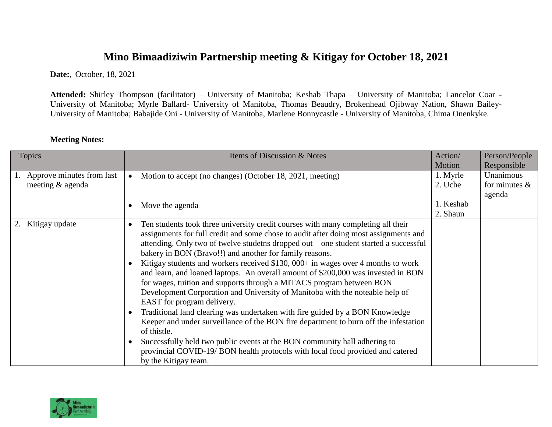## **Mino Bimaadiziwin Partnership meeting & Kitigay for October 18, 2021**

**Date:**, October, 18, 2021

**Attended:** Shirley Thompson (facilitator) – University of Manitoba; Keshab Thapa – University of Manitoba; Lancelot Coar - University of Manitoba; Myrle Ballard- University of Manitoba, Thomas Beaudry, Brokenhead Ojibway Nation, Shawn Bailey-University of Manitoba; Babajide Oni - University of Manitoba, Marlene Bonnycastle - University of Manitoba, Chima Onenkyke.

| <b>Topics</b>                                 | Items of Discussion & Notes                                                                                                                                                                                                                                                                                                                                                                                                                                                                                                                                                                                                                                                                                                                                                                                                                                                                                                                                                                                                                                              | Action/<br>Motion     | Person/People<br>Responsible  |
|-----------------------------------------------|--------------------------------------------------------------------------------------------------------------------------------------------------------------------------------------------------------------------------------------------------------------------------------------------------------------------------------------------------------------------------------------------------------------------------------------------------------------------------------------------------------------------------------------------------------------------------------------------------------------------------------------------------------------------------------------------------------------------------------------------------------------------------------------------------------------------------------------------------------------------------------------------------------------------------------------------------------------------------------------------------------------------------------------------------------------------------|-----------------------|-------------------------------|
| Approve minutes from last<br>meeting & agenda | Motion to accept (no changes) (October 18, 2021, meeting)<br>$\bullet$                                                                                                                                                                                                                                                                                                                                                                                                                                                                                                                                                                                                                                                                                                                                                                                                                                                                                                                                                                                                   | 1. Myrle<br>2. Uche   | Unanimous<br>for minutes $\&$ |
|                                               | Move the agenda                                                                                                                                                                                                                                                                                                                                                                                                                                                                                                                                                                                                                                                                                                                                                                                                                                                                                                                                                                                                                                                          | 1. Keshab<br>2. Shaun | agenda                        |
| 2. Kitigay update                             | Ten students took three university credit courses with many completing all their<br>assignments for full credit and some chose to audit after doing most assignments and<br>attending. Only two of twelve studetns dropped out – one student started a successful<br>bakery in BON (Bravo!!) and another for family reasons.<br>Kitigay students and workers received \$130, 000+ in wages over 4 months to work<br>and learn, and loaned laptops. An overall amount of \$200,000 was invested in BON<br>for wages, tuition and supports through a MITACS program between BON<br>Development Corporation and University of Manitoba with the noteable help of<br>EAST for program delivery.<br>Traditional land clearing was undertaken with fire guided by a BON Knowledge<br>Keeper and under surveillance of the BON fire department to burn off the infestation<br>of thistle.<br>Successfully held two public events at the BON community hall adhering to<br>provincial COVID-19/BON health protocols with local food provided and catered<br>by the Kitigay team. |                       |                               |

## **Meeting Notes:**

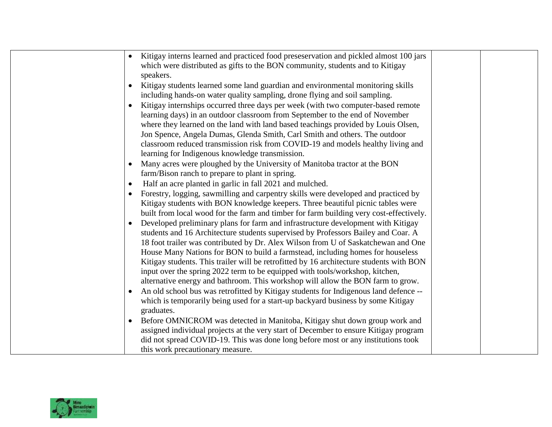|           | Kitigay interns learned and practiced food preseservation and pickled almost 100 jars   |  |
|-----------|-----------------------------------------------------------------------------------------|--|
|           | which were distributed as gifts to the BON community, students and to Kitigay           |  |
|           | speakers.                                                                               |  |
|           | Kitigay students learned some land guardian and environmental monitoring skills         |  |
|           | including hands-on water quality sampling, drone flying and soil sampling.              |  |
| $\bullet$ | Kitigay internships occurred three days per week (with two computer-based remote        |  |
|           | learning days) in an outdoor classroom from September to the end of November            |  |
|           | where they learned on the land with land based teachings provided by Louis Olsen,       |  |
|           | Jon Spence, Angela Dumas, Glenda Smith, Carl Smith and others. The outdoor              |  |
|           | classroom reduced transmission risk from COVID-19 and models healthy living and         |  |
|           | learning for Indigenous knowledge transmission.                                         |  |
|           | Many acres were ploughed by the University of Manitoba tractor at the BON               |  |
|           | farm/Bison ranch to prepare to plant in spring.                                         |  |
| $\bullet$ | Half an acre planted in garlic in fall 2021 and mulched.                                |  |
|           | Forestry, logging, sawmilling and carpentry skills were developed and practiced by      |  |
|           | Kitigay students with BON knowledge keepers. Three beautiful picnic tables were         |  |
|           | built from local wood for the farm and timber for farm building very cost-effectively.  |  |
|           | Developed preliminary plans for farm and infrastructure development with Kitigay        |  |
|           | students and 16 Architecture students supervised by Professors Bailey and Coar. A       |  |
|           | 18 foot trailer was contributed by Dr. Alex Wilson from U of Saskatchewan and One       |  |
|           | House Many Nations for BON to build a farmstead, including homes for houseless          |  |
|           | Kitigay students. This trailer will be retrofitted by 16 architecture students with BON |  |
|           | input over the spring 2022 term to be equipped with tools/workshop, kitchen,            |  |
|           | alternative energy and bathroom. This workshop will allow the BON farm to grow.         |  |
|           | An old school bus was retrofitted by Kitigay students for Indigenous land defence --    |  |
|           | which is temporarily being used for a start-up backyard business by some Kitigay        |  |
|           | graduates.                                                                              |  |
|           | Before OMNICROM was detected in Manitoba, Kitigay shut down group work and              |  |
|           | assigned individual projects at the very start of December to ensure Kitigay program    |  |
|           | did not spread COVID-19. This was done long before most or any institutions took        |  |
|           | this work precautionary measure.                                                        |  |

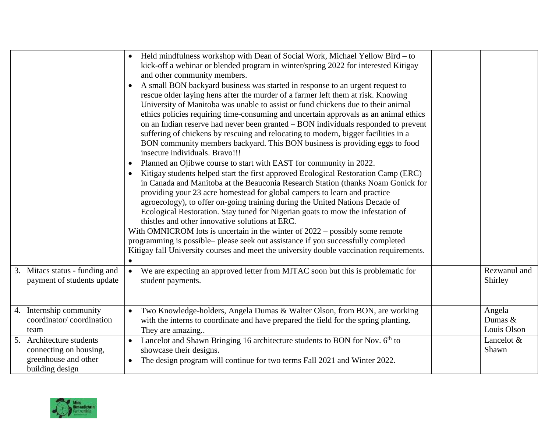|                                                                                               | Held mindfulness workshop with Dean of Social Work, Michael Yellow Bird – to<br>kick-off a webinar or blended program in winter/spring 2022 for interested Kitigay<br>and other community members.<br>A small BON backyard business was started in response to an urgent request to<br>rescue older laying hens after the murder of a farmer left them at risk. Knowing<br>University of Manitoba was unable to assist or fund chickens due to their animal<br>ethics policies requiring time-consuming and uncertain approvals as an animal ethics<br>on an Indian reserve had never been granted – BON individuals responded to prevent<br>suffering of chickens by rescuing and relocating to modern, bigger facilities in a<br>BON community members backyard. This BON business is providing eggs to food<br>insecure individuals. Bravo!!!<br>Planned an Ojibwe course to start with EAST for community in 2022.<br>Kitigay students helped start the first approved Ecological Restoration Camp (ERC)<br>in Canada and Manitoba at the Beauconia Research Station (thanks Noam Gonick for<br>providing your 23 acre homestead for global campers to learn and practice<br>agroecology), to offer on-going training during the United Nations Decade of<br>Ecological Restoration. Stay tuned for Nigerian goats to mow the infestation of<br>thistles and other innovative solutions at ERC.<br>With OMNICROM lots is uncertain in the winter of $2022 -$ possibly some remote<br>programming is possible– please seek out assistance if you successfully completed<br>Kitigay fall University courses and meet the university double vaccination requirements. |                                  |
|-----------------------------------------------------------------------------------------------|------------------------------------------------------------------------------------------------------------------------------------------------------------------------------------------------------------------------------------------------------------------------------------------------------------------------------------------------------------------------------------------------------------------------------------------------------------------------------------------------------------------------------------------------------------------------------------------------------------------------------------------------------------------------------------------------------------------------------------------------------------------------------------------------------------------------------------------------------------------------------------------------------------------------------------------------------------------------------------------------------------------------------------------------------------------------------------------------------------------------------------------------------------------------------------------------------------------------------------------------------------------------------------------------------------------------------------------------------------------------------------------------------------------------------------------------------------------------------------------------------------------------------------------------------------------------------------------------------------------------------------------------------------------------|----------------------------------|
| 3. Mitacs status - funding and<br>payment of students update                                  | We are expecting an approved letter from MITAC soon but this is problematic for<br>$\bullet$<br>student payments.                                                                                                                                                                                                                                                                                                                                                                                                                                                                                                                                                                                                                                                                                                                                                                                                                                                                                                                                                                                                                                                                                                                                                                                                                                                                                                                                                                                                                                                                                                                                                      | Rezwanul and<br>Shirley          |
| 4. Internship community<br>coordinator/coordination<br>team                                   | Two Knowledge-holders, Angela Dumas & Walter Olson, from BON, are working<br>$\bullet$<br>with the interns to coordinate and have prepared the field for the spring planting.<br>They are amazing                                                                                                                                                                                                                                                                                                                                                                                                                                                                                                                                                                                                                                                                                                                                                                                                                                                                                                                                                                                                                                                                                                                                                                                                                                                                                                                                                                                                                                                                      | Angela<br>Dumas &<br>Louis Olson |
| 5. Architecture students<br>connecting on housing,<br>greenhouse and other<br>building design | Lancelot and Shawn Bringing 16 architecture students to BON for Nov. 6 <sup>th</sup> to<br>showcase their designs.<br>The design program will continue for two terms Fall 2021 and Winter 2022.                                                                                                                                                                                                                                                                                                                                                                                                                                                                                                                                                                                                                                                                                                                                                                                                                                                                                                                                                                                                                                                                                                                                                                                                                                                                                                                                                                                                                                                                        | Lancelot &<br>Shawn              |